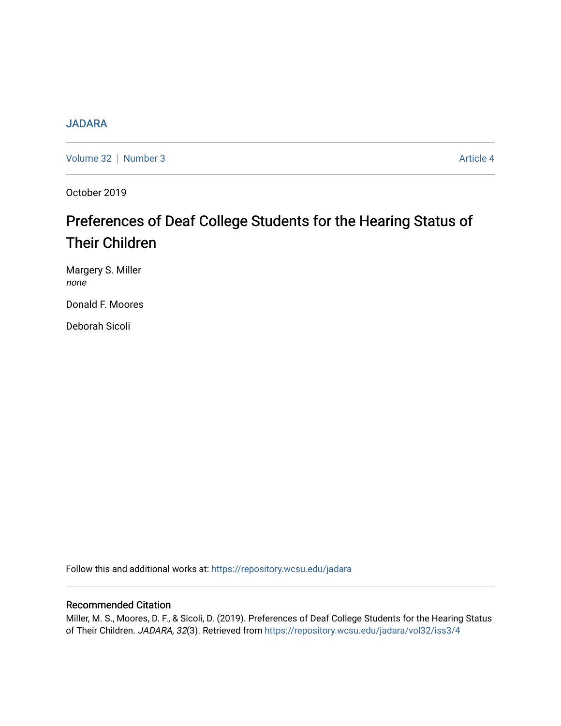# **[JADARA](https://repository.wcsu.edu/jadara)**

[Volume 32](https://repository.wcsu.edu/jadara/vol32) | [Number 3](https://repository.wcsu.edu/jadara/vol32/iss3) Article 4

October 2019

# Preferences of Deaf College Students for the Hearing Status of Their Children

Margery S. Miller none

Donald F. Moores

Deborah Sicoli

Follow this and additional works at: [https://repository.wcsu.edu/jadara](https://repository.wcsu.edu/jadara?utm_source=repository.wcsu.edu%2Fjadara%2Fvol32%2Fiss3%2F4&utm_medium=PDF&utm_campaign=PDFCoverPages)

# Recommended Citation

Miller, M. S., Moores, D. F., & Sicoli, D. (2019). Preferences of Deaf College Students for the Hearing Status of Their Children. JADARA, 32(3). Retrieved from [https://repository.wcsu.edu/jadara/vol32/iss3/4](https://repository.wcsu.edu/jadara/vol32/iss3/4?utm_source=repository.wcsu.edu%2Fjadara%2Fvol32%2Fiss3%2F4&utm_medium=PDF&utm_campaign=PDFCoverPages)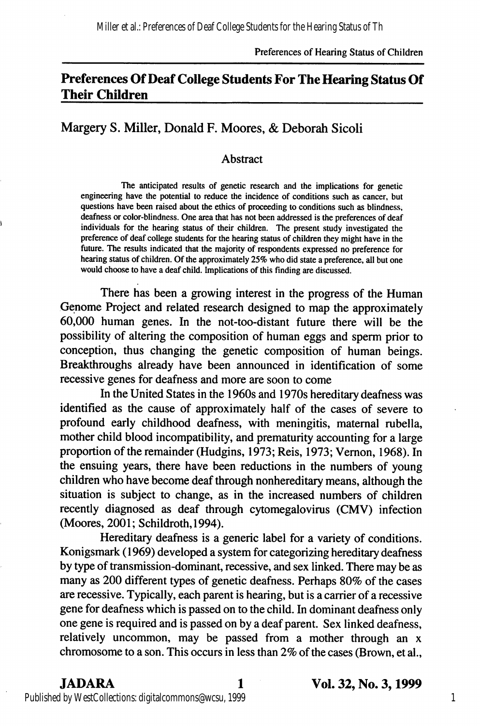# Preferences Of Deaf College Students For The Hearing Status Of Their Children

# Margery S. Miller, Donald F. Moores, & Deborah Sicoli

### Abstract

The anticipated results of genetic research and the implications for genetic engineering have the potential to reduce the incidence of conditions such as cancer, but questions have been raised about the ethics of proceeding to conditions such as blindness, deafness or color-blindness. One area that has not been addressed is the preferences of deaf individuals for the hearing status of their children. The present study investigated the preference of deaf college students for the hearing status of children they might have in the future. The results indicated that the majority of respondents expressed no preference for hearing status of children. Of the approximately 25% who did state a preference, all but one would choose to have a deaf child. Implications of this finding are discussed.

There has been a growing interest in the progress of the Human Genome Project and related research designed to map the approximately 60,000 human genes. In the not-too-distant future there will be the possibility of altering the composition of human eggs and sperm prior to conception, thus changing the genetic composition of human beings. Breakthroughs already have been announced in identification of some recessive genes for deafness and more are soon to come

In the United States in the 1960s and 1970s hereditary deafness was identified as the cause of approximately half of the cases of severe to profound early childhood deafness, with meningitis, maternal rubella, mother child blood incompatibility, and prematurity accounting for a large proportion of the remainder (Hudgins, 1973; Reis, 1973; Vemon, 1968). In the ensuing years, there have been reductions in the numbers of young children who have become deaf through nonhereditary means, although the situation is subject to change, as in the increased numbers of children recently diagnosed as deaf through cytomegalovirus (CMV) infection (Moores, 2001; Schildroth,1994).

Hereditary deafness is a generic label for a variety of conditions. Konigsmark (1969) developed a system for categorizing hereditary deafness by type of transmission-dominant, recessive, and sex linked. There may be as many as 200 different types of genetic deafness. Perhaps 80% of the cases are recessive. Typically, each parent is hearing, but is a carrier of a recessive gene for deafness which is passed on to the child. In dominant deafness only one gene is required and is passed on by a deaf parent. Sex linked deafness, relatively uncommon, may be passed from a mother through an x chromosome to a son. This occurs in less than 2% of the cases (Brown, et al.,

JADARA 1 Vol. 32, No. 3,1999

Published by WestCollections: digitalcommons@wcsu, 1999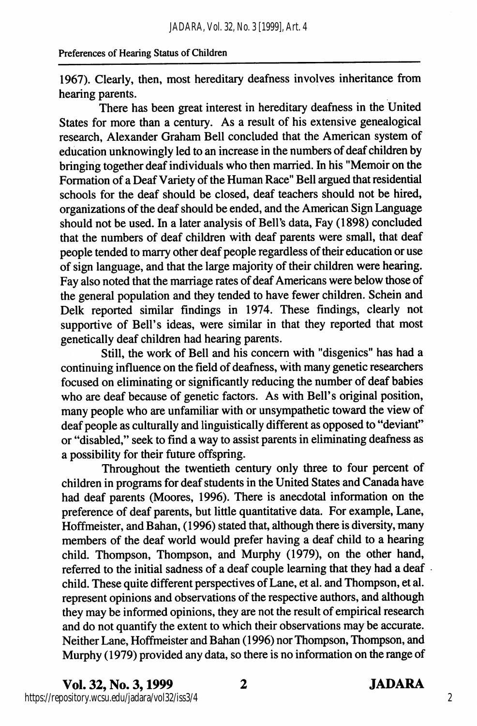1967). Clearly, then, most hereditary deafness involves inheritance from hearing parents.

There has been great interest in hereditary deafness in the United States for more than a century. As a result of his extensive genealogical research, Alexander Graham Bell concluded that the American system of education unknowingly led to an increase in the numbers of deaf children by bringing together deaf individuals who then married. In his "Memoir on the Formation of a Deaf Variety of the Human Race" Bell argued that residential schools for the deaf should be closed, deaf teachers should not be hired, organizations of the deaf should be ended, and the American Sign Language should not be used. In a later analysis of Bell's data. Fay (1898) concluded that the numbers of deaf children with deaf parents were small, that deaf people tended to marry other deaf people regardless of their education or use of sign language, and that the large majority of their children were hearing. Fay also noted that the marriage rates of deaf Americans were below those of the general population and they tended to have fewer children. Schein and Delk reported similar findings in 1974. These findings, clearly not supportive of Bell's ideas, were similar in that they reported that most genetically deaf children had hearing parents.

Still, the work of Bell and his concern with "disgenics" has had a continuing influence on the field of deafness, with many genetic researchers focused on eliminating or significantly reducing the number of deaf babies who are deaf because of genetic factors. As with Bell's original position, many people who are unfamiliar with or unsympathetic toward the view of deaf people as culturally and linguistically different as opposed to "deviant" or "disabled," seek to find a way to assist parents in eliminating deafness as a possibility for their future offspring.

Throughout the twentieth century only three to four percent of children in programs for deaf students in the United States and Canada have had deaf parents (Moores, 1996). There is anecdotal information on the preference of deaf parents, but little quantitative data. For example. Lane, Hoffmeister, and Bahan, (1996) stated that, although there is diversity, many members of the deaf world would prefer having a deaf child to a hearing child. Thompson, Thompson, and Murphy (1979), on the other hand, referred to the initial sadness of a deaf couple learning that they had a deaf child. These quite different perspectives of Lane, et al. and Thompson, et al. represent opinions and observations of the respective authors, and although they may be informed opinions, they are not the result of empirical research and do not quantify the extent to which their observations may be accurate. Neither Lane, Hoffmeister and Bahan (1996) nor Thompson, Thompson, and Murphy (1979) provided any data, so there is no information on the range of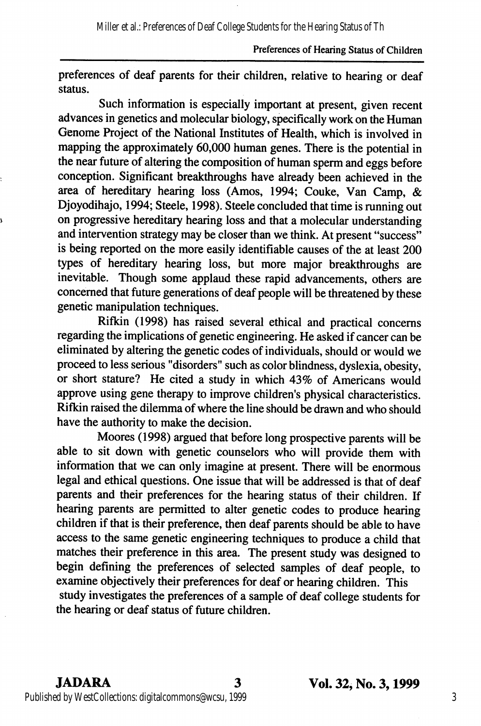preferences of deaf parents for their children, relative to hearing or deaf status.

Such information is especially important at present, given recent advances in genetics and molecular biology, specifically work on the Human Genome Project of the National Institutes of Health, which is involved in mapping the approximately 60,000 human genes. There is the potential in the near future of altering the composition of human sperm and eggs before conception. Significant breakthroughs have already been achieved in the area of hereditary hearing loss (Amos, 1994; Couke, Van Camp, & Djoyodihajo, 1994; Steele, 1998). Steele concluded that time is running out on progressive hereditary hearing loss and that a molecular understanding and intervention strategy may be closer than we think. At present "success" is being reported on the more easily identifiable causes of the at least 200 types of hereditary hearing loss, but more major breakthroughs are inevitable. Though some applaud these rapid advancements, others are concerned that future generations of deaf people will be threatened by these genetic manipulation techniques.

Rifkin (1998) has raised several ethical and practical concerns regarding the implications of genetic engineering. He asked if cancer can be eliminated by altering the genetic codes of individuals, should or would we proceed to less serious "disorders" such as color blindness, dyslexia, obesity, or short stature? He cited a study in which 43% of Americans would approve using gene therapy to improve children's physical characteristics. Rifkin raised the dilemma of where the line should be drawn and who should have the authority to make the decision.

Moores (1998) argued that before long prospective parents will be able to sit down with genetic counselors who will provide them with information that we can only imagine at present. There will be enormous legal and ethical questions. One issue that will be addressed is that of deaf parents and their preferences for the hearing status of their children. If hearing parents are permitted to alter genetic codes to produce hearing children if that is their preference, then deaf parents should be able to have access to the same genetic engineering techniques to produce a child that matches their preference in this area. The present study was designed to begin defining the preferences of selected samples of deaf people, to examine objectively their preferences for deaf or hearing children. This study investigates the preferences of a sample of deaf college students for the hearing or deaf status of future children.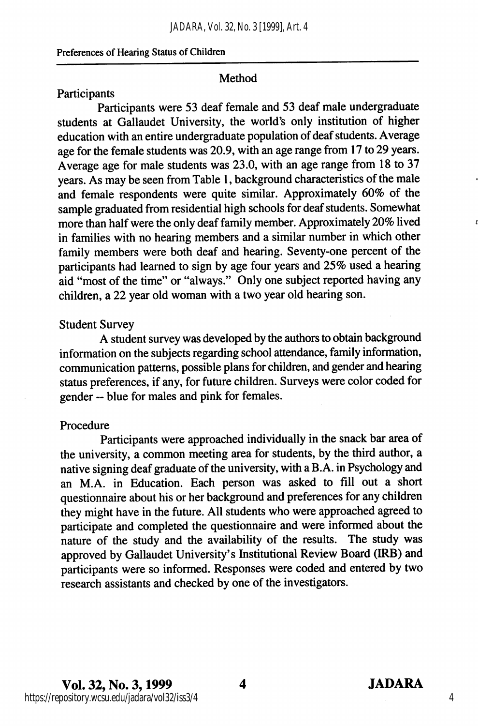### Method

### Participants

Participants were 53 deaf female and 53 deaf male undergraduate students at Gallaudet University, the world's only institution of higher education with an entire undergraduate population of deaf students. Average age for the female students was 20.9, with an age range from 17 to 29 years. Average age for male students was 23.0, with an age range from 18 to 37 years. As may be seen from Table 1, background characteristics of the male and female respondents were quite similar. Approximately 60% of the sample graduated from residential high schools for deaf students. Somewhat more than half were the only deaf family member. Approximately 20% lived in families with no hearing members and a similar number in which other family members were both deaf and hearing. Seventy-one percent of the participants had learned to sign by age four years and 25% used a hearing aid "most of the time" or "always." Only one subject reported having any children, a 22 year old woman with a two year old hearing son.

### Student Survey

A student survey was developed by the authors to obtain background information on the subjects regarding school attendance, family information, communication patterns, possible plans for children, and gender and hearing status preferences, if any, for future children. Surveys were color coded for gender ~ blue for males and pink for females.

#### Procedure

Participants were approached individually in the snack bar area of the university, a common meeting area for students, by the third author, a native signing deaf graduate of the university, with a B.A. in Psychology and an M.A. in Education. Each person was asked to fill out a short questionnaire about his or her background and preferences for any children they might have in the future. All students who were approached agreed to participate and completed the questionnaire and were informed about the nature of the study and the availability of the results. The study was approved by Gallaudet University's Institutional Review Board (IRB) and participants were so informed. Responses were coded and entered by two research assistants and checked by one of the investigators.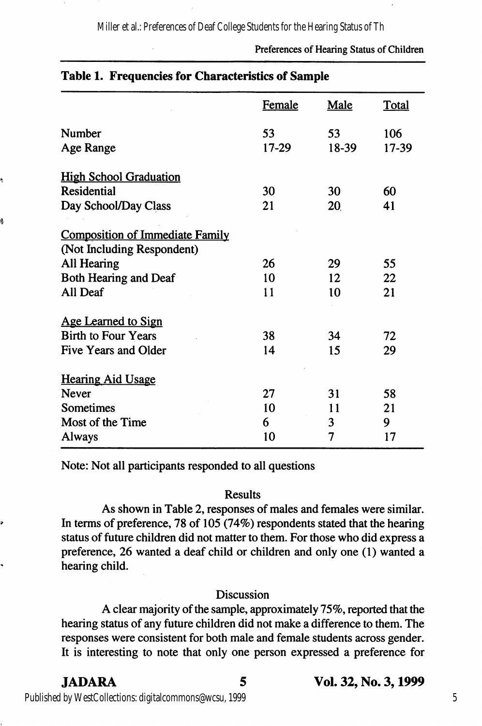Miller et al.: Preferences of Deaf College Students for the Hearing Status of Th

Preferences of Hearing Status of Children

| Table 1. Frequencies for Characteristics of Sample |               |             |              |  |
|----------------------------------------------------|---------------|-------------|--------------|--|
|                                                    | <b>Female</b> | <b>Male</b> | <b>Total</b> |  |
| Number                                             | 53            | 53          | 106          |  |
| Age Range                                          | 17-29         | 18-39       | 17-39        |  |
| <b>High School Graduation</b>                      |               |             |              |  |
| Residential                                        | 30            | 30          | 60           |  |
| Day School/Day Class                               | 21            | 20          | 41           |  |
| <b>Composition of Immediate Family</b>             |               |             |              |  |
| (Not Including Respondent)                         |               |             |              |  |
| All Hearing                                        | 26            | 29          | 55           |  |
| <b>Both Hearing and Deaf</b>                       | 10            | 12          | 22           |  |
| All Deaf                                           | 11            | 10          | 21           |  |
| <b>Age Learned to Sign</b>                         |               |             |              |  |
| <b>Birth to Four Years</b>                         | 38            | 34          | 72           |  |
| Five Years and Older                               | 14            | 15          | 29           |  |
| <b>Hearing Aid Usage</b>                           |               |             |              |  |
| <b>Never</b>                                       | 27            | 31          | 58           |  |
| Sometimes                                          | 10            | 11          | 21           |  |
| Most of the Time                                   | 6             | 3           | 9            |  |
| Always                                             | 10            | 7           | 17           |  |

Note: Not all participants responded to all questions

#### Results

As shown in Table 2, responses of males and females were similar. In terms of preference, 78 of 105 (74%) respondents stated that the hearing status of future children did not matter to them. For those who did express a preference, 26 wanted a deaf child or children and only one (1) wanted a hearing child.

#### Discussion

A clear majority of the sample, approximately 75%, reported that the hearing status of any future children did not make a difference to them. The responses were consistent for both male and female students across gender. It is interesting to note that only one person expressed a preference for

9

# JADARA Vol. 32, No. 3,1999

Published by WestCollections: digitalcommons@wcsu, 1999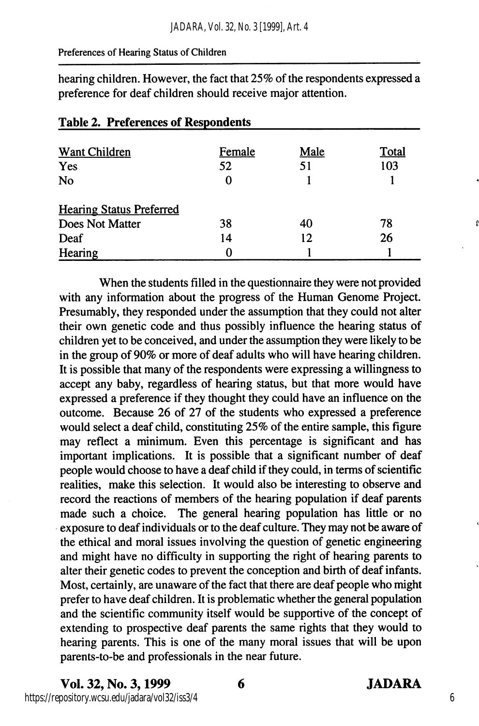hearing children. However, the fact that 25% of the respondents expressed a preference for deaf children should receive major attention.

| <b>Want Children</b>            | Female | Male | Total |
|---------------------------------|--------|------|-------|
| Yes                             | 52     | 51   | 103   |
| No                              |        |      |       |
| <b>Hearing Status Preferred</b> |        |      |       |
| Does Not Matter                 | 38     | 40   | 78    |
| Deaf                            | 14     | 12   | 26    |
| Hearing                         |        |      |       |

# Table 2. Preferences of Respondents

When the students filled in the questionnaire they were not provided with any information about the progress of the Human Genome Project. Presumably, they responded under the assumption that they could not alter their own genetic code and thus possibly influence the hearing status of children yet to be conceived, and under the assumption they were likely to be in the group of 90% or more of deaf adults who will have hearing children. It is possible that many of the respondents were expressing a willingness to accept any baby, regardless of hearing status, but that more would have expressed a preference if they thought they could have an influence on the outcome. Because 26 of 27 of the students who expressed a preference would select a deaf child, constituting 25% of the entire sample, this figure may reflect a minimum. Even this percentage is significant and has important implications. It is possible that a significant number of deaf people would choose to have a deaf child if they could, in terms of scientific realities, make this selection. It would also be interesting to observe and record the reactions of members of the hearing population if deaf parents made such a choice. The general hearing population has little or no exposure to deaf individuals or to the deaf culture. They may not be aware of the ethical and moral issues involving the question of genetic engineering and might have no difficulty in supporting the right of hearing parents to alter their genetic codes to prevent the conception and birth of deaf infants. Most, certainly, are unaware of the fact that there are deaf people who might prefer to have deaf children. It is problematic whether the general population and the scientific community itself would be supportive of the concept of extending to prospective deaf parents the same rights that they would to hearing parents. This is one of the many moral issues that will be upon parents-to-be and professionals in the near future.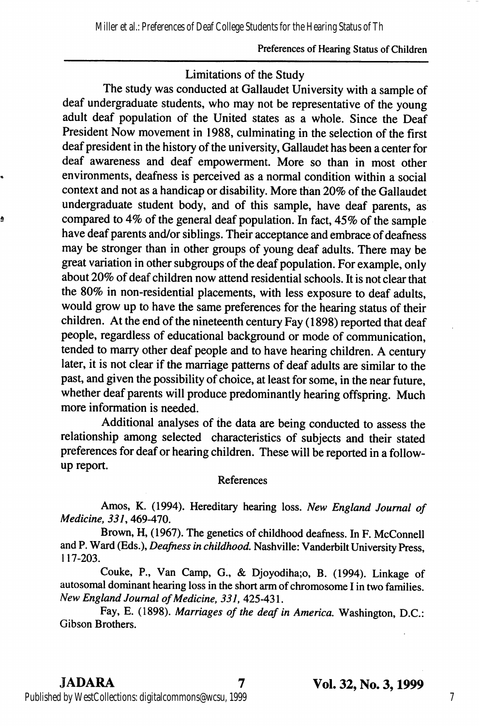# Limitations of the Study

The study was conducted at Gallaudet University with a sample of deaf undergraduate students, who may not be representative of the young adult deaf population of the United states as a whole. Since the Deaf President Now movement in 1988, culminating in the selection of the first deaf president in the history of the university, Gallaudet has been a center for deaf awareness and deaf empowerment. More so than in most other environments, deafness is perceived as a normal condition within a social context and not as a handicap or disability. More than 20% of the Gallaudet undergraduate student body, and of this sample, have deaf parents, as compared to 4% of the general deaf population. In fact, 45% of the sample have deaf parents and/or siblings. Their acceptance and embrace of deafness may be stronger than in other groups of young deaf adults. There may be great variation in other subgroups of the deaf population. For example, only about 20% of deaf children now attend residential schools. It is not clear that the 80% in non-residential placements, with less exposure to deaf adults, would grow up to have the same preferences for the hearing status of their children. At the end of the nineteenth century Fay (1898) reported that deaf people, regardless of educational background or mode of communication, tended to marry other deaf people and to have hearing children. A century later, it is not clear if the marriage patterns of deaf adults are similar to the past, and given the possibility of choice, at least for some, in the near future, whether deaf parents will produce predominantly hearing offspring. Much more information is needed.

Additional analyses of the data are being conducted to assess the relationship among selected characteristics of subjects and their stated preferences for deaf or hearing children. These will be reported in a followup report.

#### References

Amos, K. (1994). Hereditary hearing loss. New England Journal of Medicine, 331,469-470.

Brown, H, (1967). The genetics of childhood deafness. In F. McConnell and P. Ward (Eds.), Deafness in childhood. Nashville: Vanderbilt University Press, 117-203.

Couke, P., Van Camp, G., & Djoyodiha;o, B. (1994). Linkage of autosomal dominant hearing loss in the short arm of chromosome I in two families. New England Journal of Medicine, 331, 425-431.

Fay, E. (1898). Marriages of the deaf in America. Washington, D.C.: Gibson Brothers.

ġ

JADARA 7 Vol. 32, No. 3,1999

Published by WestCollections: digitalcommons@wcsu, 1999